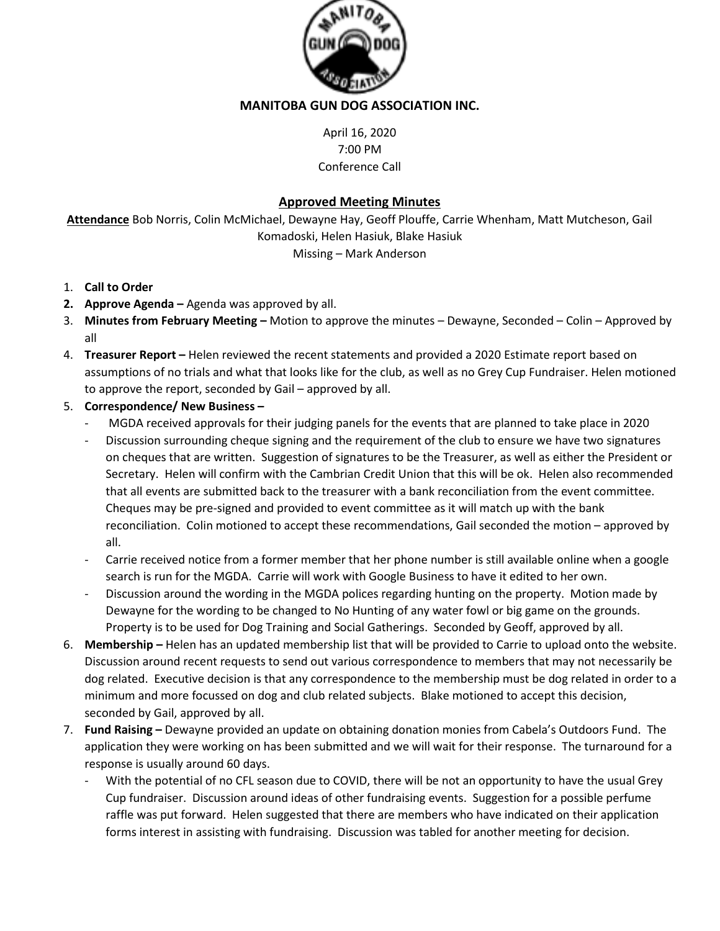

## **MANITOBA GUN DOG ASSOCIATION INC.**

April 16, 2020 7:00 PM Conference Call

## **Approved Meeting Minutes**

**Attendance** Bob Norris, Colin McMichael, Dewayne Hay, Geoff Plouffe, Carrie Whenham, Matt Mutcheson, Gail Komadoski, Helen Hasiuk, Blake Hasiuk Missing – Mark Anderson

- 1. **Call to Order**
- **2. Approve Agenda –** Agenda was approved by all.
- 3. **Minutes from February Meeting –** Motion to approve the minutes Dewayne, Seconded Colin Approved by all
- 4. **Treasurer Report –** Helen reviewed the recent statements and provided a 2020 Estimate report based on assumptions of no trials and what that looks like for the club, as well as no Grey Cup Fundraiser. Helen motioned to approve the report, seconded by Gail – approved by all.
- 5. **Correspondence/ New Business –**
	- MGDA received approvals for their judging panels for the events that are planned to take place in 2020
	- Discussion surrounding cheque signing and the requirement of the club to ensure we have two signatures on cheques that are written. Suggestion of signatures to be the Treasurer, as well as either the President or Secretary. Helen will confirm with the Cambrian Credit Union that this will be ok. Helen also recommended that all events are submitted back to the treasurer with a bank reconciliation from the event committee. Cheques may be pre-signed and provided to event committee as it will match up with the bank reconciliation. Colin motioned to accept these recommendations, Gail seconded the motion – approved by all.
	- Carrie received notice from a former member that her phone number is still available online when a google search is run for the MGDA. Carrie will work with Google Business to have it edited to her own.
	- Discussion around the wording in the MGDA polices regarding hunting on the property. Motion made by Dewayne for the wording to be changed to No Hunting of any water fowl or big game on the grounds. Property is to be used for Dog Training and Social Gatherings. Seconded by Geoff, approved by all.
- 6. **Membership –** Helen has an updated membership list that will be provided to Carrie to upload onto the website. Discussion around recent requests to send out various correspondence to members that may not necessarily be dog related. Executive decision is that any correspondence to the membership must be dog related in order to a minimum and more focussed on dog and club related subjects. Blake motioned to accept this decision, seconded by Gail, approved by all.
- 7. **Fund Raising –** Dewayne provided an update on obtaining donation monies from Cabela's Outdoors Fund. The application they were working on has been submitted and we will wait for their response. The turnaround for a response is usually around 60 days.
	- With the potential of no CFL season due to COVID, there will be not an opportunity to have the usual Grey Cup fundraiser. Discussion around ideas of other fundraising events. Suggestion for a possible perfume raffle was put forward. Helen suggested that there are members who have indicated on their application forms interest in assisting with fundraising. Discussion was tabled for another meeting for decision.